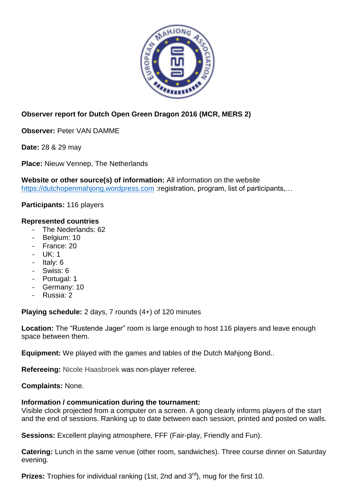

## **Observer report for Dutch Open Green Dragon 2016 (MCR, MERS 2)**

**Observer:** Peter VAN DAMME

**Date:** 28 & 29 may

**Place:** Nieuw Vennep, The Netherlands

**Website or other source(s) of information:** All information on the website [https://dutchopenmahjong.wordpress.com](https://dutchopenmahjong.wordpress.com/) :registration, program, list of participants....

**Participants:** 116 players

## **Represented countries**

- The Nederlands: 62
- Belgium: 10
- France: 20
- UK: 1
- Italy: 6
- Swiss: 6
- Portugal: 1
- Germany: 10
- Russia: 2

**Playing schedule:** 2 days, 7 rounds (4+) of 120 minutes

**Location:** The "Rustende Jager" room is large enough to host 116 players and leave enough space between them.

**Equipment:** We played with the games and tables of the Dutch Mahjong Bond..

**Refereeing:** Nicole Haasbroek was non-player referee.

**Complaints:** None.

## **Information / communication during the tournament:**

Visible clock projected from a computer on a screen. A gong clearly informs players of the start and the end of sessions. Ranking up to date between each session, printed and posted on walls.

**Sessions:** Excellent playing atmosphere, FFF (Fair-play, Friendly and Fun).

**Catering:** Lunch in the same venue (other room, sandwiches). Three course dinner on Saturday evening.

**Prizes:** Trophies for individual ranking (1st, 2nd and 3<sup>rd</sup>), mug for the first 10.